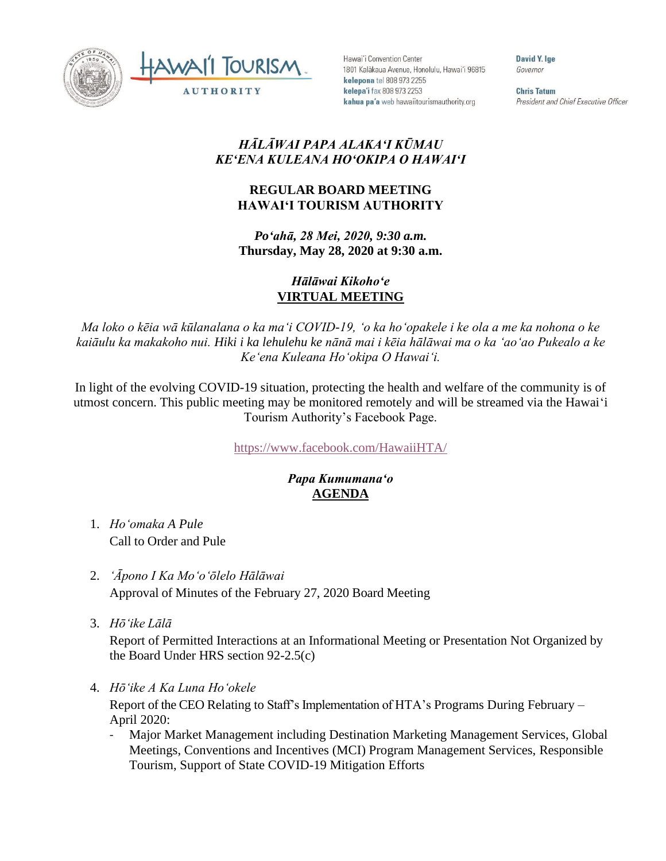



Hawai'i Convention Center 1801 Kalākaua Avenue, Honolulu, Hawai'i 96815 kelepona tel 808 973 2255 kelepa'i fax 808 973 2253 kahua pa'a web hawaiitourismauthority.org

David Y. lge Governor

**Chris Tatum** President and Chief Executive Officer

## *HĀLĀWAI PAPA ALAKAʻI KŪMAU KEʻENA KULEANA HOʻOKIPA O HAWAIʻI*

## **REGULAR BOARD MEETING HAWAI'I TOURISM AUTHORITY**

*Poʻahā, 28 Mei, 2020, 9:30 a.m.* **Thursday, May 28, 2020 at 9:30 a.m.**

## *Hālāwai Kikohoʻe* **VIRTUAL MEETING**

*Ma loko o kēia wā kūlanalana o ka maʻi COVID-19, ʻo ka hoʻopakele i ke ola a me ka nohona o ke kaiāulu ka makakoho nui. Hiki i ka lehulehu ke nānā mai i kēia hālāwai ma o ka ʻaoʻao Pukealo a ke Keʻena Kuleana Hoʻokipa O Hawaiʻi.*

In light of the evolving COVID-19 situation, protecting the health and welfare of the community is of utmost concern. This public meeting may be monitored remotely and will be streamed via the Hawaiʻi Tourism Authority's Facebook Page.

<https://www.facebook.com/HawaiiHTA/>

## *Papa Kumumanaʻo* **AGENDA**

- 1. *Ho'omaka A Pule* Call to Order and Pule
- 2. *ʻĀpono I Ka Moʻoʻōlelo Hālāwai* Approval of Minutes of the February 27, 2020 Board Meeting
- 3. *Hō'ike Lālā*

Report of Permitted Interactions at an Informational Meeting or Presentation Not Organized by the Board Under HRS section 92-2.5(c)

4. *Hōʻike A Ka Luna Hoʻokele*

Report of the CEO Relating to Staff's Implementation of HTA's Programs During February – April 2020:

Major Market Management including Destination Marketing Management Services, Global Meetings, Conventions and Incentives (MCI) Program Management Services, Responsible Tourism, Support of State COVID-19 Mitigation Efforts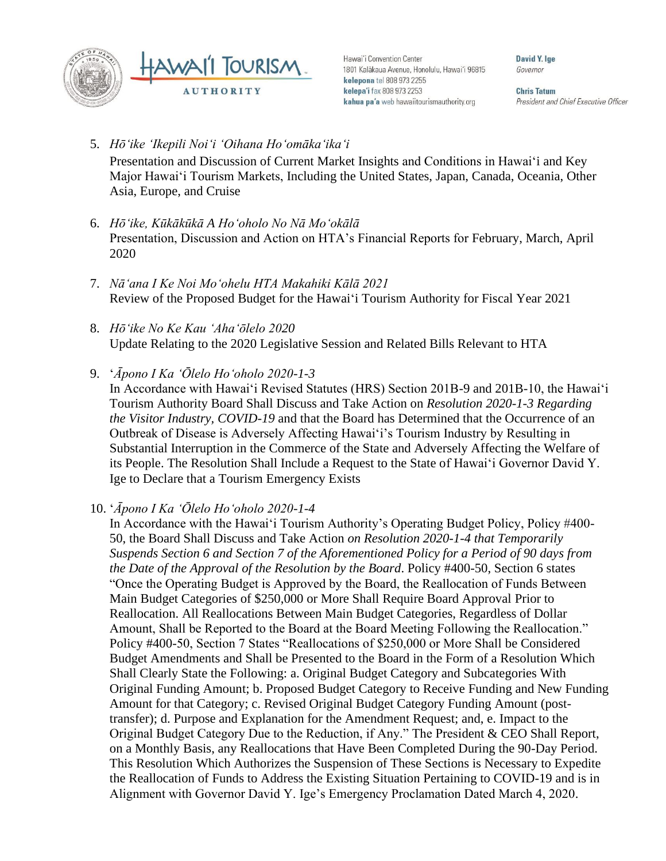

Hawai'i Convention Center 1801 Kalākaua Avenue, Honolulu, Hawai'i 96815 kelepona tel 808 973 2255 kelepa'i fax 808 973 2253 kahua pa'a web hawaiitourismauthority.org

David Y. lge Governor

**Chris Tatum** President and Chief Executive Officer

- 5. *Hōʻike ʻIkepili Noiʻi ʻOihana Hoʻomākaʻikaʻi* Presentation and Discussion of Current Market Insights and Conditions in Hawai'i and Key Major Hawai'i Tourism Markets, Including the United States, Japan, Canada, Oceania, Other Asia, Europe, and Cruise
- 6. *Hōʻike, Kūkākūkā A Hoʻoholo No Nā Moʻokālā* Presentation, Discussion and Action on HTA's Financial Reports for February, March, April 2020
- 7. *Nāʻana I Ke Noi Moʻohelu HTA Makahiki Kālā 2021* Review of the Proposed Budget for the Hawaiʻi Tourism Authority for Fiscal Year 2021
- 8. *Hōʻike No Ke Kau ʻAhaʻōlelo 2020* Update Relating to the 2020 Legislative Session and Related Bills Relevant to HTA
- 9. ʻ*Āpono I Ka ʻŌlelo Hoʻoholo 2020-1-3*

In Accordance with Hawai'i Revised Statutes (HRS) Section 201B-9 and 201B-10, the Hawai'i Tourism Authority Board Shall Discuss and Take Action on *Resolution 2020-1-3 Regarding the Visitor Industry, COVID-19* and that the Board has Determined that the Occurrence of an Outbreak of Disease is Adversely Affecting Hawai'i's Tourism Industry by Resulting in Substantial Interruption in the Commerce of the State and Adversely Affecting the Welfare of its People. The Resolution Shall Include a Request to the State of Hawai'i Governor David Y. Ige to Declare that a Tourism Emergency Exists

10. ʻ*Āpono I Ka ʻŌlelo Hoʻoholo 2020-1-4* 

In Accordance with the Hawai'i Tourism Authority's Operating Budget Policy, Policy #400- 50, the Board Shall Discuss and Take Action *on Resolution 2020-1-4 that Temporarily Suspends Section 6 and Section 7 of the Aforementioned Policy for a Period of 90 days from the Date of the Approval of the Resolution by the Board*. Policy #400-50, Section 6 states "Once the Operating Budget is Approved by the Board, the Reallocation of Funds Between Main Budget Categories of \$250,000 or More Shall Require Board Approval Prior to Reallocation. All Reallocations Between Main Budget Categories, Regardless of Dollar Amount, Shall be Reported to the Board at the Board Meeting Following the Reallocation." Policy #400-50, Section 7 States "Reallocations of \$250,000 or More Shall be Considered Budget Amendments and Shall be Presented to the Board in the Form of a Resolution Which Shall Clearly State the Following: a. Original Budget Category and Subcategories With Original Funding Amount; b. Proposed Budget Category to Receive Funding and New Funding Amount for that Category; c. Revised Original Budget Category Funding Amount (posttransfer); d. Purpose and Explanation for the Amendment Request; and, e. Impact to the Original Budget Category Due to the Reduction, if Any." The President & CEO Shall Report, on a Monthly Basis, any Reallocations that Have Been Completed During the 90-Day Period. This Resolution Which Authorizes the Suspension of These Sections is Necessary to Expedite the Reallocation of Funds to Address the Existing Situation Pertaining to COVID-19 and is in Alignment with Governor David Y. Ige's Emergency Proclamation Dated March 4, 2020.